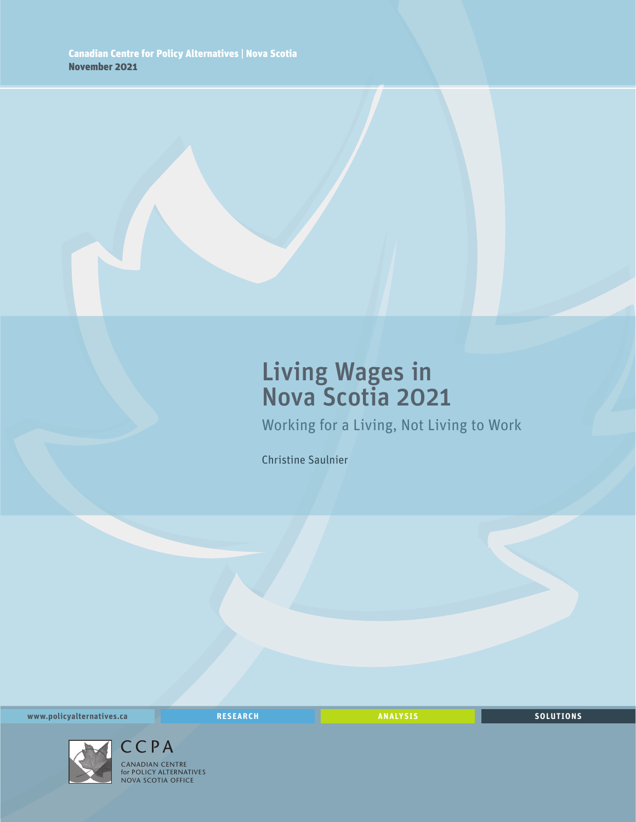## Living Wages in Nova Scotia 2021

Working for a Living, Not Living to Work

Christine Saulnier

**www.policyalternatives.ca** <mark>RESEARCH</mark> ANALYSIS SOLUTIONS



CCPA CANADIAN CENTRE for POLICY ALTERNATIVES NOVA SCOTIA OFFICE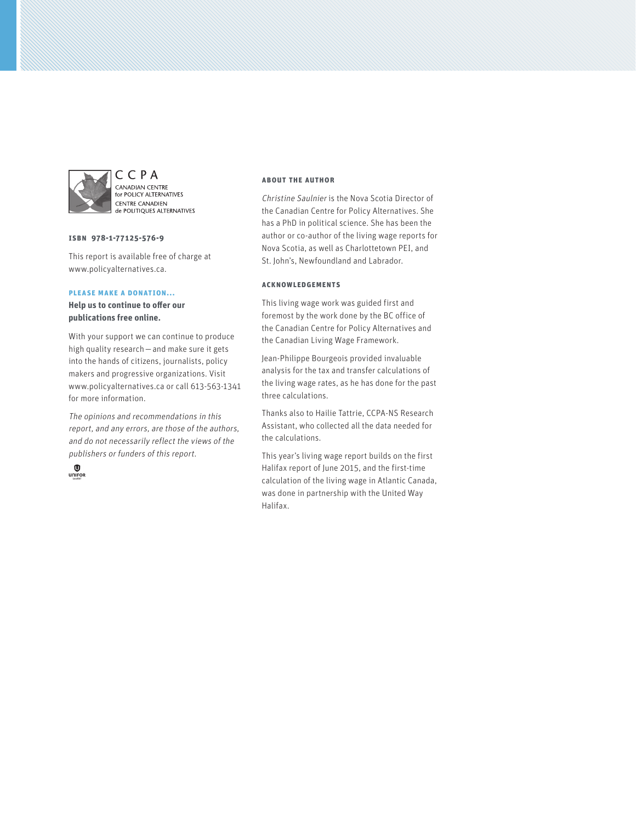

CCPA CANADIAN CENTRE **ENTRUST CENTRE**<br>for POLICY ALTERNATIVES **CENTRE CANADIEN CENTRE CANADIEN** 

#### **ISBN 978-1-77125-576-9**

This report is available free of charge at www.policyalternatives.ca.

#### **Please make a donation...**

**Help us to continue to offer our publications free online.**

With your support we can continue to produce high quality research—and make sure it gets into the hands of citizens, journalists, policy makers and progressive organizations. Visit www.policyalternatives.ca or call 613-563-1341 for more information.

The opinions and recommendations in this report, and any errors, are those of the authors, and do not necessarily reflect the views of the publishers or funders of this report.



#### **About the author**

Christine Saulnier is the Nova Scotia Director of the Canadian Centre for Policy Alternatives. She has a PhD in political science. She has been the author or co-author of the living wage reports for Nova Scotia, as well as Charlottetown PEI, and St. John's, Newfoundland and Labrador.

#### **Acknowledgements**

This living wage work was guided first and foremost by the work done by the BC office of the Canadian Centre for Policy Alternatives and the Canadian Living Wage Framework.

Jean-Philippe Bourgeois provided invaluable analysis for the tax and transfer calculations of the living wage rates, as he has done for the past three calculations.

Thanks also to Hailie Tattrie, CCPA-NS Research Assistant, who collected all the data needed for the calculations.

This year's living wage report builds on the first Halifax report of June 2015, and the first-time calculation of the living wage in Atlantic Canada, was done in partnership with the United Way Halifax.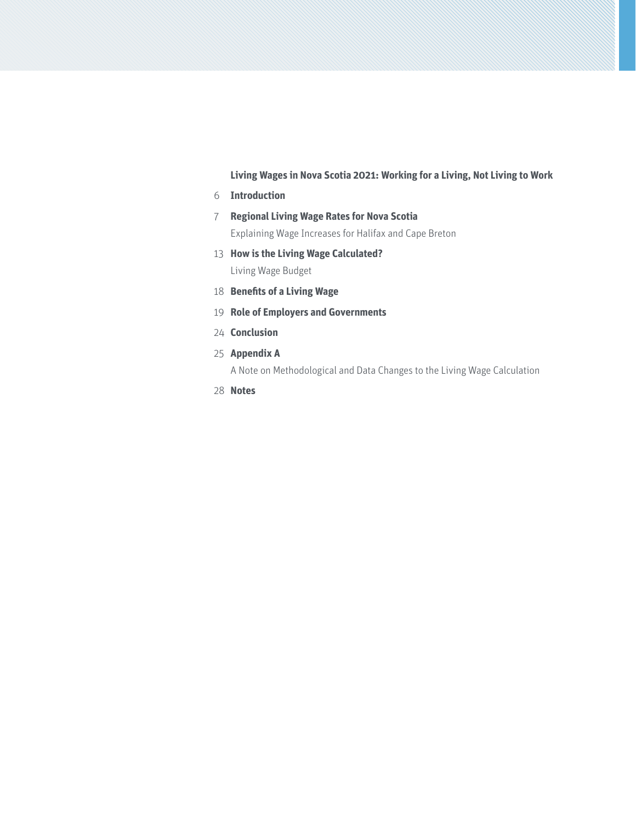#### **Living Wages in Nova Scotia 2021: Working for a Living, Not Living to Work**

- **Introduction**
- **Regional Living Wage Rates for Nova Scotia** Explaining Wage Increases for Halifax and Cape Breton
- **How is the Living Wage Calculated?** Living Wage Budget
- **Benefits of a Living Wage**
- **Role of Employers and Governments**
- **Conclusion**
- **Appendix A**

A Note on Methodological and Data Changes to the Living Wage Calculation

**Notes**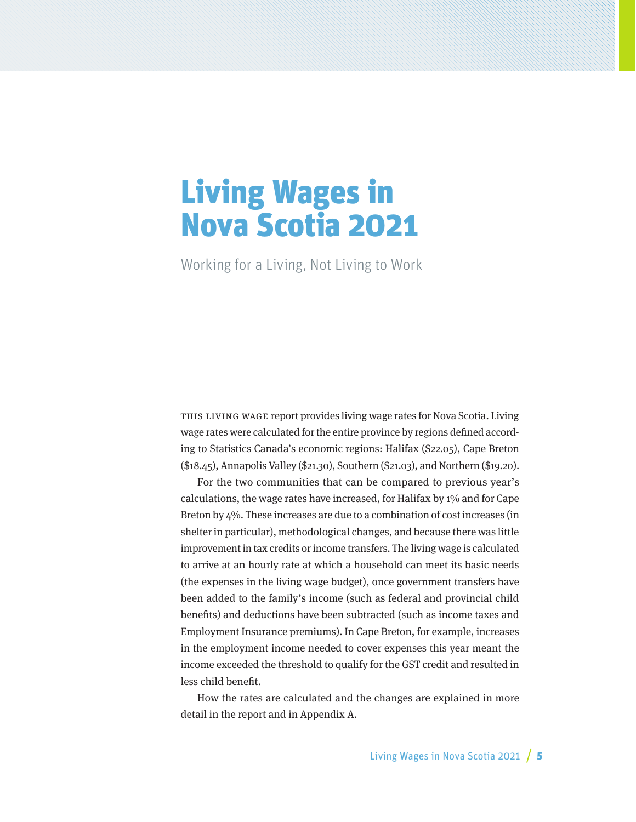# Living Wages in Nova Scotia 2021

Working for a Living, Not Living to Work

This living wage report provides living wage rates for Nova Scotia. Living wage rates were calculated for the entire province by regions defined according to Statistics Canada's economic regions: Halifax (\$22.05), Cape Breton (\$18.45), Annapolis Valley (\$21.30), Southern (\$21.03), and Northern (\$19.20).

For the two communities that can be compared to previous year's calculations, the wage rates have increased, for Halifax by 1% and for Cape Breton by 4%. These increases are due to a combination of cost increases (in shelter in particular), methodological changes, and because there was little improvement in tax credits or income transfers. The living wage is calculated to arrive at an hourly rate at which a household can meet its basic needs (the expenses in the living wage budget), once government transfers have been added to the family's income (such as federal and provincial child benefits) and deductions have been subtracted (such as income taxes and Employment Insurance premiums). In Cape Breton, for example, increases in the employment income needed to cover expenses this year meant the income exceeded the threshold to qualify for the GST credit and resulted in less child benefit.

How the rates are calculated and the changes are explained in more detail in the report and in Appendix A.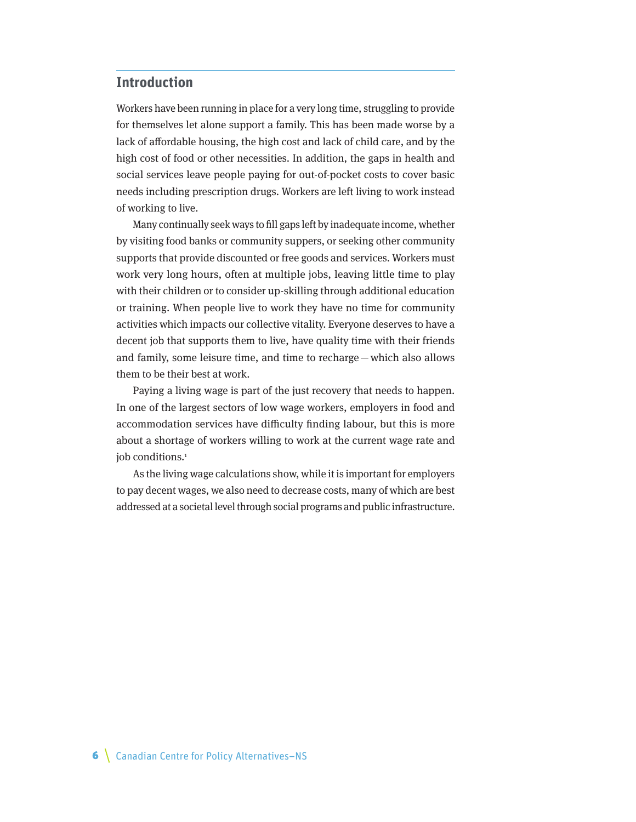## **Introduction**

Workers have been running in place for a very long time, struggling to provide for themselves let alone support a family. This has been made worse by a lack of affordable housing, the high cost and lack of child care, and by the high cost of food or other necessities. In addition, the gaps in health and social services leave people paying for out-of-pocket costs to cover basic needs including prescription drugs. Workers are left living to work instead of working to live.

Many continually seek ways to fill gaps left by inadequate income, whether by visiting food banks or community suppers, or seeking other community supports that provide discounted or free goods and services. Workers must work very long hours, often at multiple jobs, leaving little time to play with their children or to consider up-skilling through additional education or training. When people live to work they have no time for community activities which impacts our collective vitality. Everyone deserves to have a decent job that supports them to live, have quality time with their friends and family, some leisure time, and time to recharge—which also allows them to be their best at work.

Paying a living wage is part of the just recovery that needs to happen. In one of the largest sectors of low wage workers, employers in food and accommodation services have difficulty finding labour, but this is more about a shortage of workers willing to work at the current wage rate and job conditions.<sup>1</sup>

As the living wage calculations show, while it is important for employers to pay decent wages, we also need to decrease costs, many of which are best addressed at a societal level through social programs and public infrastructure.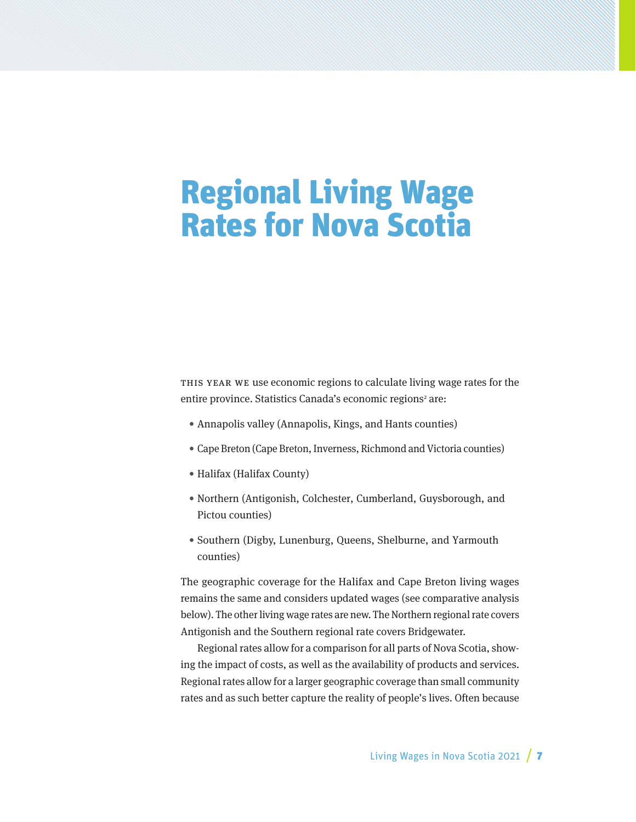# Regional Living Wage Rates for Nova Scotia

This year we use economic regions to calculate living wage rates for the entire province. Statistics Canada's economic regions<sup>2</sup> are:

- Annapolis valley (Annapolis, Kings, and Hants counties)
- Cape Breton (Cape Breton, Inverness, Richmond and Victoria counties)
- Halifax (Halifax County)
- Northern (Antigonish, Colchester, Cumberland, Guysborough, and Pictou counties)
- Southern (Digby, Lunenburg, Queens, Shelburne, and Yarmouth counties)

The geographic coverage for the Halifax and Cape Breton living wages remains the same and considers updated wages (see comparative analysis below). The other living wage rates are new. The Northern regional rate covers Antigonish and the Southern regional rate covers Bridgewater.

Regional rates allow for a comparison for all parts of Nova Scotia, showing the impact of costs, as well as the availability of products and services. Regional rates allow for a larger geographic coverage than small community rates and as such better capture the reality of people's lives. Often because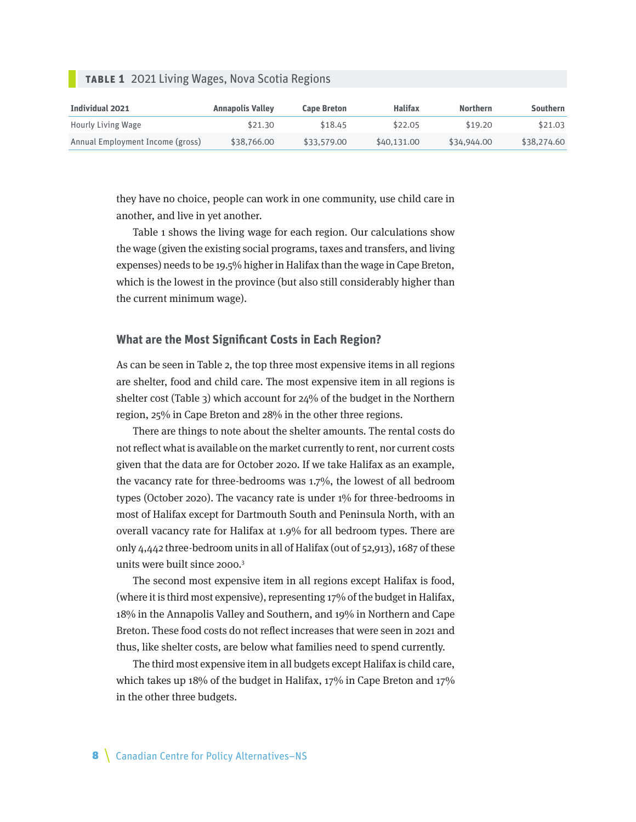#### **TABLE 1** 2021 Living Wages, Nova Scotia Regions

| Individual 2021                  | <b>Annapolis Valley</b> | <b>Cape Breton</b> | <b>Halifax</b> | Northern    | Southern    |
|----------------------------------|-------------------------|--------------------|----------------|-------------|-------------|
| <b>Hourly Living Wage</b>        | \$21.30                 | \$18.45            | \$22.05        | \$19.20     | \$21.03     |
| Annual Employment Income (gross) | \$38,766.00             | \$33,579.00        | \$40,131.00    | \$34,944,00 | \$38,274.60 |

they have no choice, people can work in one community, use child care in another, and live in yet another.

Table 1 shows the living wage for each region. Our calculations show the wage (given the existing social programs, taxes and transfers, and living expenses) needs to be 19.5% higher in Halifax than the wage in Cape Breton, which is the lowest in the province (but also still considerably higher than the current minimum wage).

#### **What are the Most Significant Costs in Each Region?**

As can be seen in Table 2, the top three most expensive items in all regions are shelter, food and child care. The most expensive item in all regions is shelter cost (Table 3) which account for 24% of the budget in the Northern region, 25% in Cape Breton and 28% in the other three regions.

There are things to note about the shelter amounts. The rental costs do not reflect what is available on the market currently to rent, nor current costs given that the data are for October 2020. If we take Halifax as an example, the vacancy rate for three-bedrooms was 1.7%, the lowest of all bedroom types (October 2020). The vacancy rate is under 1% for three-bedrooms in most of Halifax except for Dartmouth South and Peninsula North, with an overall vacancy rate for Halifax at 1.9% for all bedroom types. There are only 4,442 three-bedroom units in all of Halifax (out of 52,913), 1687 of these units were built since 2000.3

The second most expensive item in all regions except Halifax is food, (where it is third most expensive), representing 17% of the budget in Halifax, 18% in the Annapolis Valley and Southern, and 19% in Northern and Cape Breton. These food costs do not reflect increases that were seen in 2021 and thus, like shelter costs, are below what families need to spend currently.

The third most expensive item in all budgets except Halifax is child care, which takes up 18% of the budget in Halifax, 17% in Cape Breton and 17% in the other three budgets.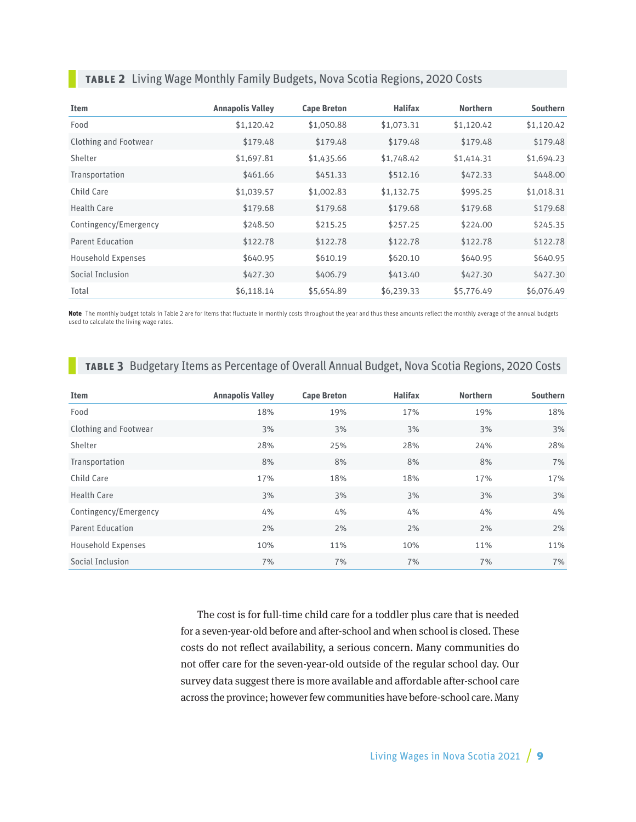| <b>Item</b>                  | <b>Annapolis Valley</b> | <b>Cape Breton</b> | <b>Halifax</b> | <b>Northern</b> | <b>Southern</b> |
|------------------------------|-------------------------|--------------------|----------------|-----------------|-----------------|
| Food                         | \$1,120.42              | \$1,050.88         | \$1,073.31     | \$1,120.42      | \$1,120.42      |
| <b>Clothing and Footwear</b> | \$179.48                | \$179.48           | \$179.48       | \$179.48        | \$179.48        |
| Shelter                      | \$1,697.81              | \$1,435.66         | \$1,748.42     | \$1,414.31      | \$1,694.23      |
| Transportation               | \$461.66                | \$451.33           | \$512.16       | \$472.33        | \$448.00        |
| Child Care                   | \$1,039.57              | \$1,002.83         | \$1,132.75     | \$995.25        | \$1,018.31      |
| <b>Health Care</b>           | \$179.68                | \$179.68           | \$179.68       | \$179.68        | \$179.68        |
| Contingency/Emergency        | \$248.50                | \$215.25           | \$257.25       | \$224.00        | \$245.35        |
| Parent Education             | \$122.78                | \$122.78           | \$122.78       | \$122.78        | \$122.78        |
| <b>Household Expenses</b>    | \$640.95                | \$610.19           | \$620.10       | \$640.95        | \$640.95        |
| Social Inclusion             | \$427.30                | \$406.79           | \$413.40       | \$427.30        | \$427.30        |
| Total                        | \$6,118.14              | \$5,654.89         | \$6,239.33     | \$5,776.49      | \$6,076.49      |

### **TABLE 2** Living Wage Monthly Family Budgets, Nova Scotia Regions, 2020 Costs

**Note** The monthly budget totals in Table 2 are for items that fluctuate in monthly costs throughout the year and thus these amounts reflect the monthly average of the annual budgets<br>used to calculate the living wage rates

|  |  | <b>TABLE 3</b> Budgetary Items as Percentage of Overall Annual Budget, Nova Scotia Regions, 2020 Costs |  |  |
|--|--|--------------------------------------------------------------------------------------------------------|--|--|
|--|--|--------------------------------------------------------------------------------------------------------|--|--|

| <b>Item</b>               | <b>Annapolis Valley</b> | <b>Cape Breton</b> | <b>Halifax</b> | <b>Northern</b> | <b>Southern</b> |
|---------------------------|-------------------------|--------------------|----------------|-----------------|-----------------|
| Food                      | 18%                     | 19%                | 17%            | 19%             | 18%             |
| Clothing and Footwear     | 3%                      | 3%                 | 3%             | 3%              | 3%              |
| Shelter                   | 28%                     | 25%                | 28%            | 24%             | 28%             |
| Transportation            | 8%                      | 8%                 | 8%             | 8%              | 7%              |
| Child Care                | 17%                     | 18%                | 18%            | 17%             | 17%             |
| <b>Health Care</b>        | 3%                      | 3%                 | 3%             | 3%              | 3%              |
| Contingency/Emergency     | 4%                      | 4%                 | 4%             | 4%              | 4%              |
| <b>Parent Education</b>   | 2%                      | 2%                 | 2%             | 2%              | 2%              |
| <b>Household Expenses</b> | 10%                     | 11%                | 10%            | 11%             | 11%             |
| Social Inclusion          | 7%                      | 7%                 | 7%             | 7%              | 7%              |

The cost is for full-time child care for a toddler plus care that is needed for a seven-year-old before and after-school and when school is closed. These costs do not reflect availability, a serious concern. Many communities do not offer care for the seven-year-old outside of the regular school day. Our survey data suggest there is more available and affordable after-school care across the province; however few communities have before-school care. Many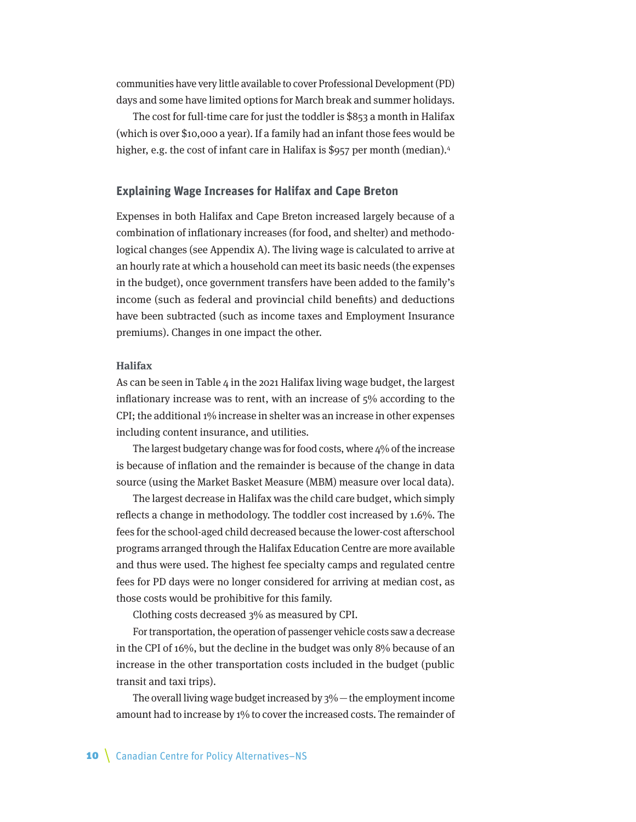communities have very little available to cover Professional Development (PD) days and some have limited options for March break and summer holidays.

The cost for full-time care for just the toddler is \$853 a month in Halifax (which is over \$10,000 a year). If a family had an infant those fees would be higher, e.g. the cost of infant care in Halifax is \$957 per month (median).<sup>4</sup>

#### **Explaining Wage Increases for Halifax and Cape Breton**

Expenses in both Halifax and Cape Breton increased largely because of a combination of inflationary increases (for food, and shelter) and methodological changes (see Appendix A). The living wage is calculated to arrive at an hourly rate at which a household can meet its basic needs (the expenses in the budget), once government transfers have been added to the family's income (such as federal and provincial child benefits) and deductions have been subtracted (such as income taxes and Employment Insurance premiums). Changes in one impact the other.

#### **Halifax**

As can be seen in Table  $4$  in the 2021 Halifax living wage budget, the largest inflationary increase was to rent, with an increase of 5% according to the CPI; the additional 1% increase in shelter was an increase in other expenses including content insurance, and utilities.

The largest budgetary change was for food costs, where 4% of the increase is because of inflation and the remainder is because of the change in data source (using the Market Basket Measure (MBM) measure over local data).

The largest decrease in Halifax was the child care budget, which simply reflects a change in methodology. The toddler cost increased by 1.6%. The fees for the school-aged child decreased because the lower-cost afterschool programs arranged through the Halifax Education Centre are more available and thus were used. The highest fee specialty camps and regulated centre fees for PD days were no longer considered for arriving at median cost, as those costs would be prohibitive for this family.

Clothing costs decreased 3% as measured by CPI.

For transportation, the operation of passenger vehicle costs saw a decrease in the CPI of 16%, but the decline in the budget was only 8% because of an increase in the other transportation costs included in the budget (public transit and taxi trips).

The overall living wage budget increased by  $3\%$  — the employment income amount had to increase by 1% to cover the increased costs. The remainder of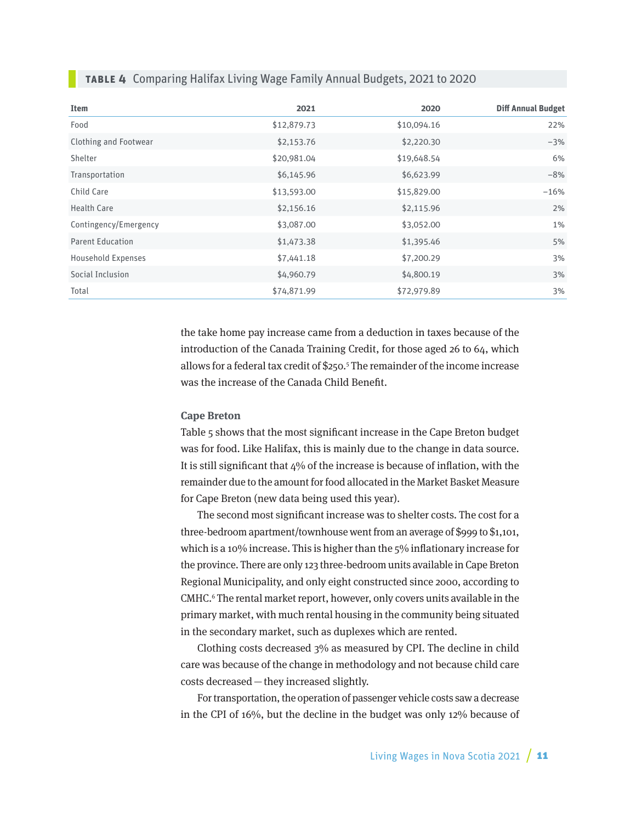| <b>Item</b>                  | 2021        | 2020        | <b>Diff Annual Budget</b> |
|------------------------------|-------------|-------------|---------------------------|
| Food                         | \$12,879.73 | \$10,094.16 | 22%                       |
| <b>Clothing and Footwear</b> | \$2,153.76  | \$2,220.30  | $-3%$                     |
| Shelter                      | \$20,981.04 | \$19,648.54 | 6%                        |
| Transportation               | \$6,145.96  | \$6,623.99  | $-8%$                     |
| Child Care                   | \$13,593.00 | \$15,829.00 | $-16%$                    |
| <b>Health Care</b>           | \$2,156.16  | \$2,115.96  | 2%                        |
| Contingency/Emergency        | \$3,087.00  | \$3,052.00  | 1%                        |
| <b>Parent Education</b>      | \$1,473.38  | \$1,395.46  | 5%                        |
| Household Expenses           | \$7,441.18  | \$7,200.29  | 3%                        |
| Social Inclusion             | \$4,960.79  | \$4,800.19  | 3%                        |
| Total                        | \$74,871.99 | \$72,979.89 | 3%                        |

#### **TABLE 4** Comparing Halifax Living Wage Family Annual Budgets, 2021 to 2020

the take home pay increase came from a deduction in taxes because of the introduction of the Canada Training Credit, for those aged 26 to 64, which allows for a federal tax credit of \$250.5 The remainder of the income increase was the increase of the Canada Child Benefit.

#### **Cape Breton**

Table 5 shows that the most significant increase in the Cape Breton budget was for food. Like Halifax, this is mainly due to the change in data source. It is still significant that 4% of the increase is because of inflation, with the remainder due to the amount for food allocated in the Market Basket Measure for Cape Breton (new data being used this year).

The second most significant increase was to shelter costs. The cost for a three-bedroom apartment/townhouse went from an average of \$999 to \$1,101, which is a 10% increase. This is higher than the 5% inflationary increase for the province. There are only 123 three-bedroom units available in Cape Breton Regional Municipality, and only eight constructed since 2000, according to CMHC.<sup>6</sup> The rental market report, however, only covers units available in the primary market, with much rental housing in the community being situated in the secondary market, such as duplexes which are rented.

Clothing costs decreased 3% as measured by CPI. The decline in child care was because of the change in methodology and not because child care costs decreased—they increased slightly.

For transportation, the operation of passenger vehicle costs saw a decrease in the CPI of 16%, but the decline in the budget was only 12% because of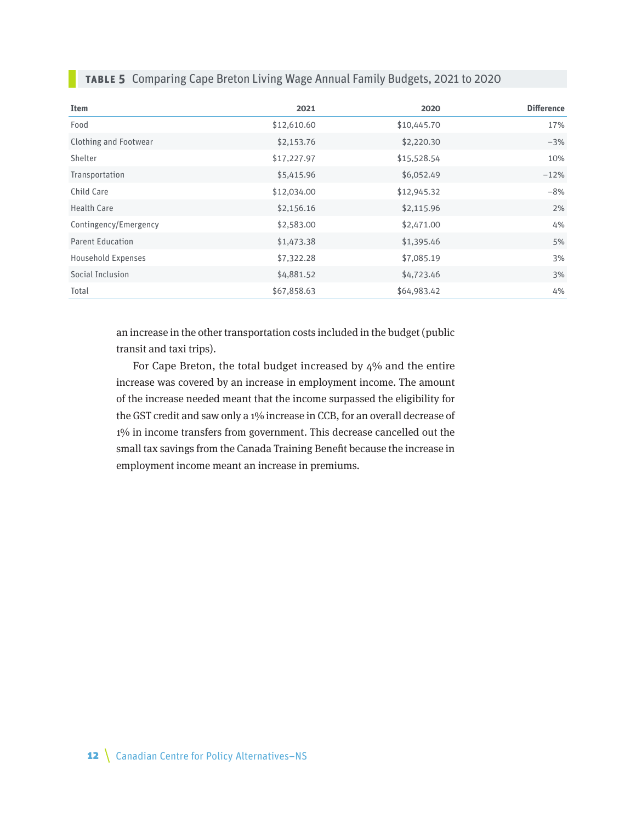| <b>Item</b>                  | 2021        | 2020        | <b>Difference</b> |
|------------------------------|-------------|-------------|-------------------|
| Food                         | \$12,610.60 | \$10,445.70 | 17%               |
| <b>Clothing and Footwear</b> | \$2,153.76  | \$2,220.30  | $-3%$             |
| Shelter                      | \$17,227.97 | \$15,528.54 | 10%               |
| Transportation               | \$5,415.96  | \$6,052.49  | $-12%$            |
| Child Care                   | \$12,034.00 | \$12,945.32 | $-8%$             |
| <b>Health Care</b>           | \$2,156.16  | \$2,115.96  | 2%                |
| Contingency/Emergency        | \$2,583.00  | \$2,471.00  | 4%                |
| <b>Parent Education</b>      | \$1,473.38  | \$1,395.46  | 5%                |
| <b>Household Expenses</b>    | \$7,322.28  | \$7,085.19  | 3%                |
| Social Inclusion             | \$4,881.52  | \$4,723.46  | 3%                |
| Total                        | \$67,858.63 | \$64,983.42 | 4%                |

### **TABLE 5** Comparing Cape Breton Living Wage Annual Family Budgets, 2021 to 2020

an increase in the other transportation costs included in the budget (public transit and taxi trips).

For Cape Breton, the total budget increased by 4% and the entire increase was covered by an increase in employment income. The amount of the increase needed meant that the income surpassed the eligibility for the GST credit and saw only a 1% increase in CCB, for an overall decrease of 1% in income transfers from government. This decrease cancelled out the small tax savings from the Canada Training Benefit because the increase in employment income meant an increase in premiums.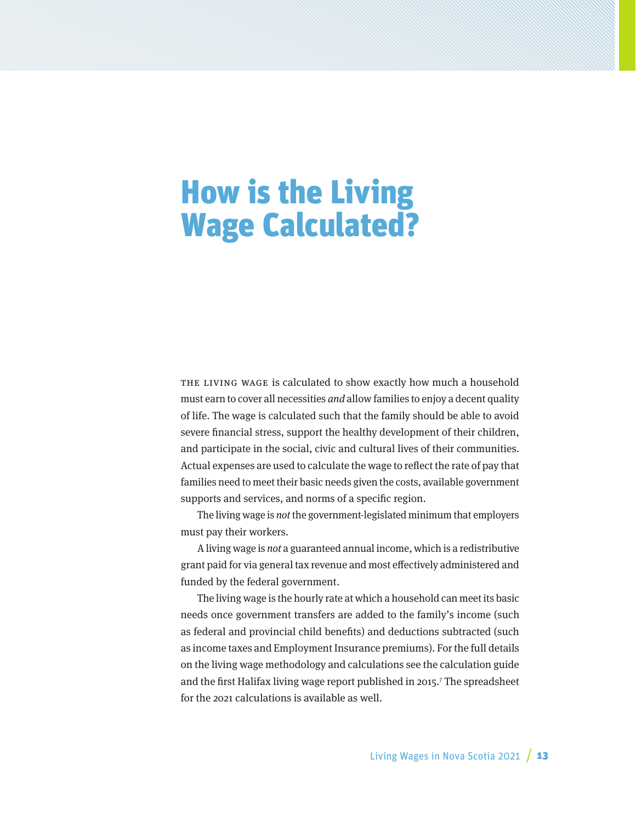# How is the Living Wage Calculated?

The living wage is calculated to show exactly how much a household must earn to cover all necessities and allow families to enjoy a decent quality of life. The wage is calculated such that the family should be able to avoid severe financial stress, support the healthy development of their children, and participate in the social, civic and cultural lives of their communities. Actual expenses are used to calculate the wage to reflect the rate of pay that families need to meet their basic needs given the costs, available government supports and services, and norms of a specific region.

The living wage is not the government-legislated minimum that employers must pay their workers.

A living wage is not a guaranteed annual income, which is a redistributive grant paid for via general tax revenue and most effectively administered and funded by the federal government.

The living wage is the hourly rate at which a household can meet its basic needs once government transfers are added to the family's income (such as federal and provincial child benefits) and deductions subtracted (such as income taxes and Employment Insurance premiums). For the full details on the living wage methodology and calculations see the calculation guide and the first Halifax living wage report published in 2015.7 The spreadsheet for the 2021 calculations is available as well.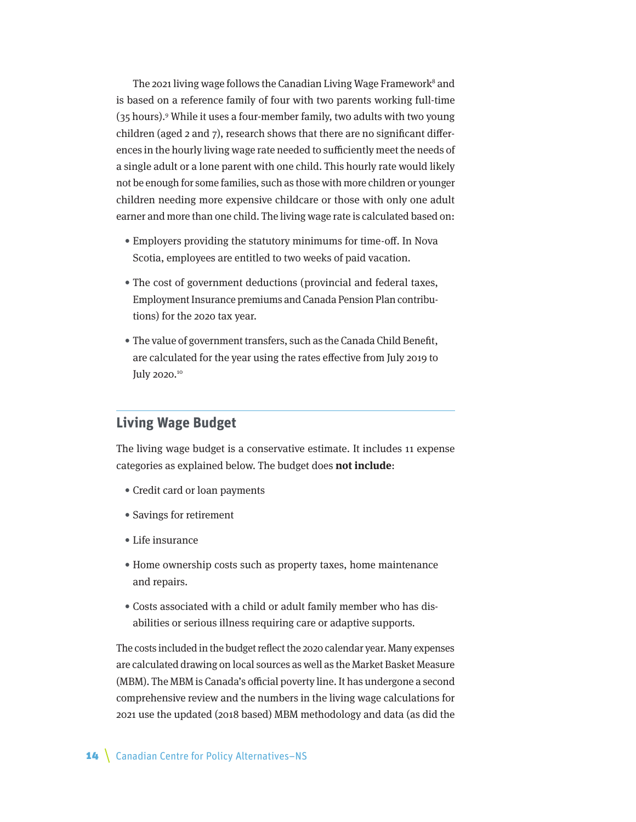The 2021 living wage follows the Canadian Living Wage Framework<sup>8</sup> and is based on a reference family of four with two parents working full-time (35 hours).9 While it uses a four-member family, two adults with two young children (aged 2 and 7), research shows that there are no significant differences in the hourly living wage rate needed to sufficiently meet the needs of a single adult or a lone parent with one child. This hourly rate would likely not be enough for some families, such as those with more children or younger children needing more expensive childcare or those with only one adult earner and more than one child. The living wage rate is calculated based on:

- Employers providing the statutory minimums for time-off. In Nova Scotia, employees are entitled to two weeks of paid vacation.
- The cost of government deductions (provincial and federal taxes, Employment Insurance premiums and Canada Pension Plan contributions) for the 2020 tax year.
- The value of government transfers, such as the Canada Child Benefit, are calculated for the year using the rates effective from July 2019 to July 2020.<sup>10</sup>

## **Living Wage Budget**

The living wage budget is a conservative estimate. It includes 11 expense categories as explained below. The budget does **not include**:

- Credit card or loan payments
- Savings for retirement
- Life insurance
- Home ownership costs such as property taxes, home maintenance and repairs.
- Costs associated with a child or adult family member who has disabilities or serious illness requiring care or adaptive supports.

The costs included in the budget reflect the 2020 calendar year. Many expenses are calculated drawing on local sources as well as the Market Basket Measure (MBM). The MBM is Canada's official poverty line. It has undergone a second comprehensive review and the numbers in the living wage calculations for 2021 use the updated (2018 based) MBM methodology and data (as did the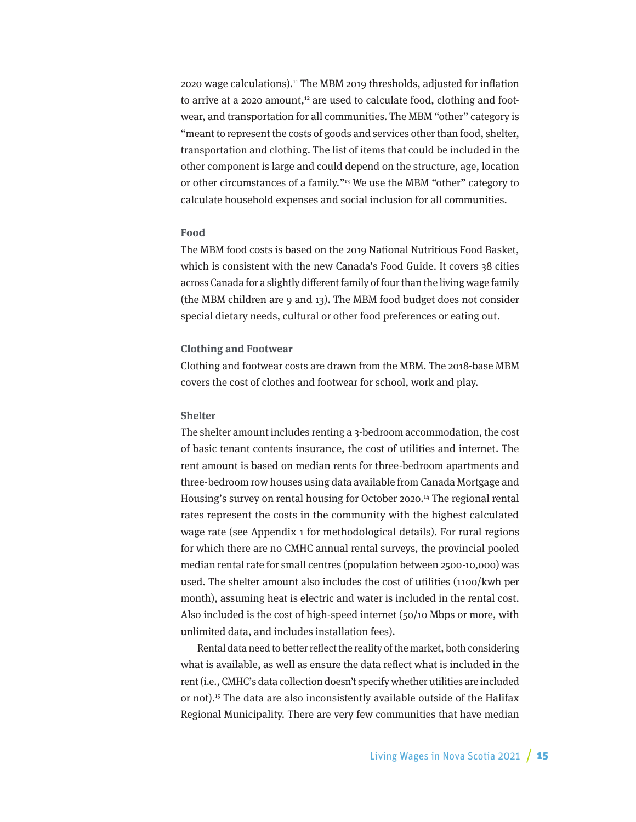2020 wage calculations).11 The MBM 2019 thresholds, adjusted for inflation to arrive at a 2020 amount,<sup>12</sup> are used to calculate food, clothing and footwear, and transportation for all communities. The MBM "other" category is "meant to represent the costs of goods and services other than food, shelter, transportation and clothing. The list of items that could be included in the other component is large and could depend on the structure, age, location or other circumstances of a family."13 We use the MBM "other" category to calculate household expenses and social inclusion for all communities.

#### **Food**

The MBM food costs is based on the 2019 National Nutritious Food Basket, which is consistent with the new Canada's Food Guide. It covers 38 cities across Canada for a slightly different family of four than the living wage family (the MBM children are 9 and 13). The MBM food budget does not consider special dietary needs, cultural or other food preferences or eating out.

#### **Clothing and Footwear**

Clothing and footwear costs are drawn from the MBM. The 2018-base MBM covers the cost of clothes and footwear for school, work and play.

#### **Shelter**

The shelter amount includes renting a 3-bedroom accommodation, the cost of basic tenant contents insurance, the cost of utilities and internet. The rent amount is based on median rents for three-bedroom apartments and three-bedroom row houses using data available from Canada Mortgage and Housing's survey on rental housing for October 2020.14 The regional rental rates represent the costs in the community with the highest calculated wage rate (see Appendix 1 for methodological details). For rural regions for which there are no CMHC annual rental surveys, the provincial pooled median rental rate for small centres (population between 2500-10,000) was used. The shelter amount also includes the cost of utilities (1100/kwh per month), assuming heat is electric and water is included in the rental cost. Also included is the cost of high-speed internet (50/10 Mbps or more, with unlimited data, and includes installation fees).

Rental data need to better reflect the reality of the market, both considering what is available, as well as ensure the data reflect what is included in the rent (i.e., CMHC's data collection doesn't specify whether utilities are included or not).15 The data are also inconsistently available outside of the Halifax Regional Municipality. There are very few communities that have median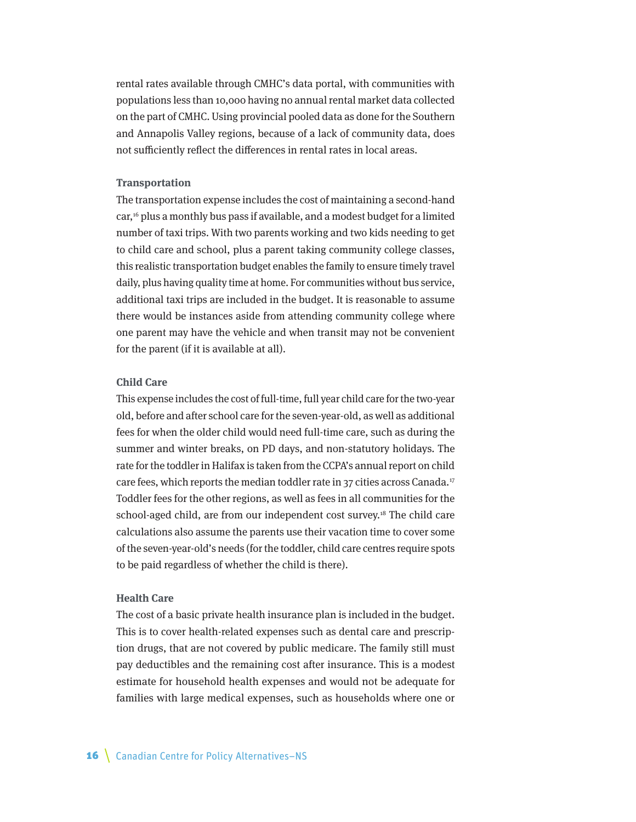rental rates available through CMHC's data portal, with communities with populations less than 10,000 having no annual rental market data collected on the part of CMHC. Using provincial pooled data as done for the Southern and Annapolis Valley regions, because of a lack of community data, does not sufficiently reflect the differences in rental rates in local areas.

#### **Transportation**

The transportation expense includes the cost of maintaining a second-hand car,<sup>16</sup> plus a monthly bus pass if available, and a modest budget for a limited number of taxi trips. With two parents working and two kids needing to get to child care and school, plus a parent taking community college classes, this realistic transportation budget enables the family to ensure timely travel daily, plus having quality time at home. For communities without bus service, additional taxi trips are included in the budget. It is reasonable to assume there would be instances aside from attending community college where one parent may have the vehicle and when transit may not be convenient for the parent (if it is available at all).

#### **Child Care**

This expense includes the cost of full-time, full year child care for the two-year old, before and after school care for the seven-year-old, as well as additional fees for when the older child would need full-time care, such as during the summer and winter breaks, on PD days, and non-statutory holidays. The rate for the toddler in Halifax is taken from the CCPA's annual report on child care fees, which reports the median toddler rate in 37 cities across Canada.17 Toddler fees for the other regions, as well as fees in all communities for the school-aged child, are from our independent cost survey.<sup>18</sup> The child care calculations also assume the parents use their vacation time to cover some of the seven-year-old's needs (for the toddler, child care centres require spots to be paid regardless of whether the child is there).

#### **Health Care**

The cost of a basic private health insurance plan is included in the budget. This is to cover health-related expenses such as dental care and prescription drugs, that are not covered by public medicare. The family still must pay deductibles and the remaining cost after insurance. This is a modest estimate for household health expenses and would not be adequate for families with large medical expenses, such as households where one or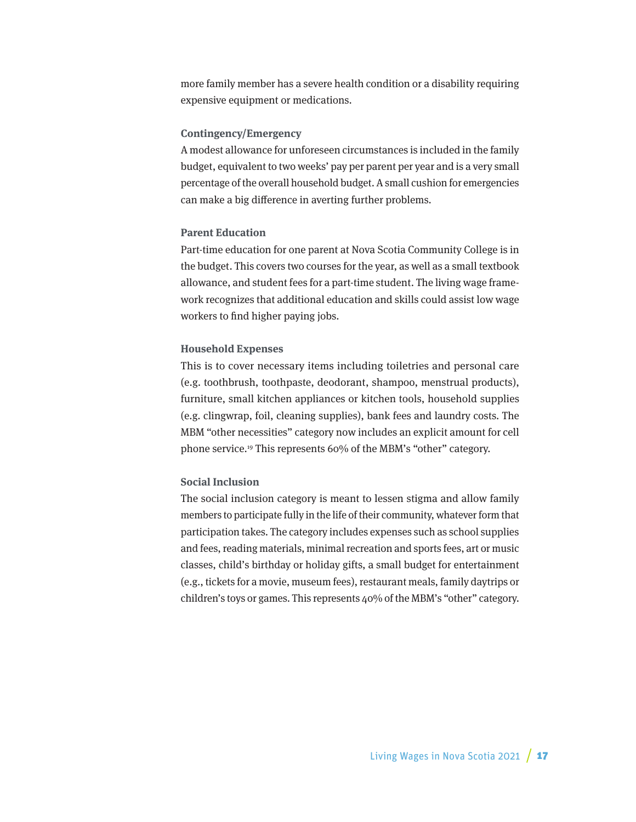more family member has a severe health condition or a disability requiring expensive equipment or medications.

#### **Contingency/Emergency**

A modest allowance for unforeseen circumstances is included in the family budget, equivalent to two weeks' pay per parent per year and is a very small percentage of the overall household budget. A small cushion for emergencies can make a big difference in averting further problems.

#### **Parent Education**

Part-time education for one parent at Nova Scotia Community College is in the budget. This covers two courses for the year, as well as a small textbook allowance, and student fees for a part-time student. The living wage framework recognizes that additional education and skills could assist low wage workers to find higher paying jobs.

#### **Household Expenses**

This is to cover necessary items including toiletries and personal care (e.g. toothbrush, toothpaste, deodorant, shampoo, menstrual products), furniture, small kitchen appliances or kitchen tools, household supplies (e.g. clingwrap, foil, cleaning supplies), bank fees and laundry costs. The MBM "other necessities" category now includes an explicit amount for cell phone service.19 This represents 60% of the MBM's "other" category.

#### **Social Inclusion**

The social inclusion category is meant to lessen stigma and allow family members to participate fully in the life of their community, whatever form that participation takes. The category includes expenses such as school supplies and fees, reading materials, minimal recreation and sports fees, art or music classes, child's birthday or holiday gifts, a small budget for entertainment (e.g., tickets for a movie, museum fees), restaurant meals, family daytrips or children's toys or games. This represents 40% of the MBM's "other" category.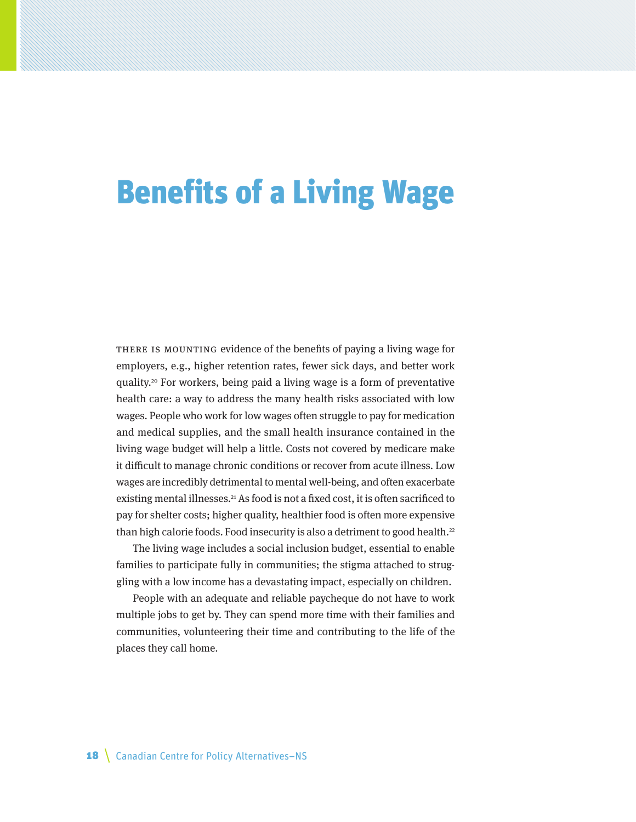# Benefits of a Living Wage

THERE IS MOUNTING evidence of the benefits of paying a living wage for employers, e.g., higher retention rates, fewer sick days, and better work quality.20 For workers, being paid a living wage is a form of preventative health care: a way to address the many health risks associated with low wages. People who work for low wages often struggle to pay for medication and medical supplies, and the small health insurance contained in the living wage budget will help a little. Costs not covered by medicare make it difficult to manage chronic conditions or recover from acute illness. Low wages are incredibly detrimental to mental well-being, and often exacerbate existing mental illnesses.<sup>21</sup> As food is not a fixed cost, it is often sacrificed to pay for shelter costs; higher quality, healthier food is often more expensive than high calorie foods. Food insecurity is also a detriment to good health.<sup>22</sup>

The living wage includes a social inclusion budget, essential to enable families to participate fully in communities; the stigma attached to struggling with a low income has a devastating impact, especially on children.

People with an adequate and reliable paycheque do not have to work multiple jobs to get by. They can spend more time with their families and communities, volunteering their time and contributing to the life of the places they call home.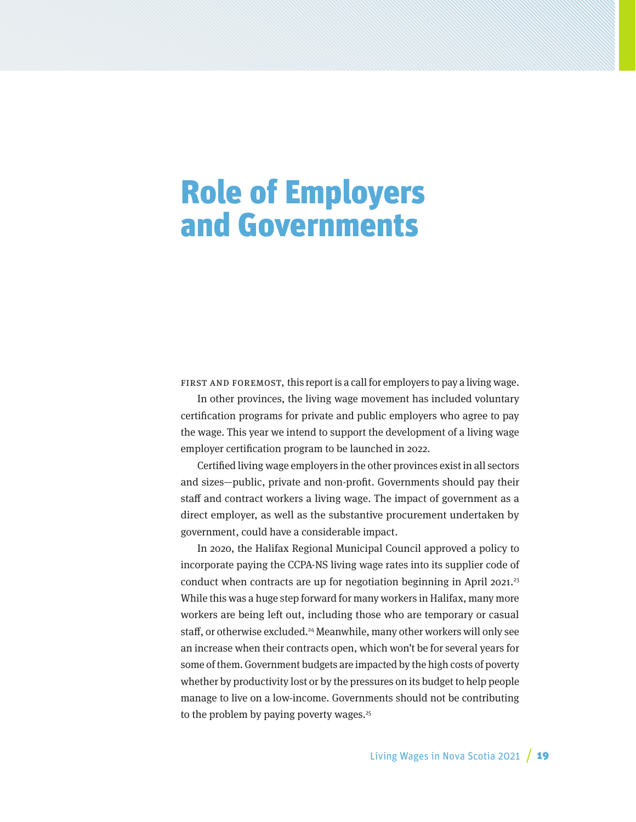## Role of Employers and Governments

FIRST AND FOREMOST, this report is a call for employers to pay a living wage.

In other provinces, the living wage movement has included voluntary certification programs for private and public employers who agree to pay the wage. This year we intend to support the development of a living wage employer certification program to be launched in 2022.

Certified living wage employers in the other provinces exist in all sectors and sizes—public, private and non-profit. Governments should pay their staff and contract workers a living wage. The impact of government as a direct employer, as well as the substantive procurement undertaken by government, could have a considerable impact.

In 2020, the Halifax Regional Municipal Council approved a policy to incorporate paying the CCPA-NS living wage rates into its supplier code of conduct when contracts are up for negotiation beginning in April 2021.<sup>23</sup> While this was a huge step forward for many workers in Halifax, many more workers are being left out, including those who are temporary or casual staff, or otherwise excluded.<sup>24</sup> Meanwhile, many other workers will only see an increase when their contracts open, which won't be for several years for some of them. Government budgets are impacted by the high costs of poverty whether by productivity lost or by the pressures on its budget to help people manage to live on a low-income. Governments should not be contributing to the problem by paying poverty wages. $25$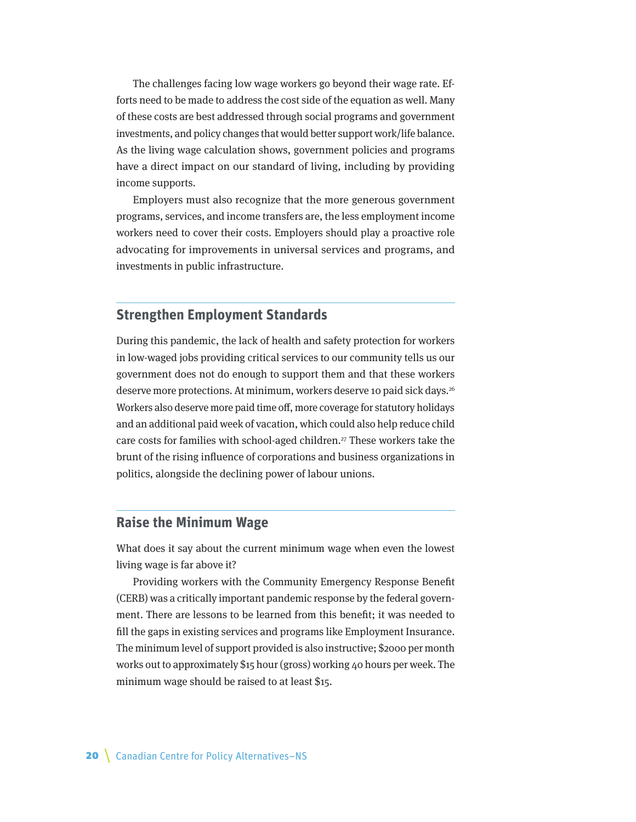The challenges facing low wage workers go beyond their wage rate. Efforts need to be made to address the cost side of the equation as well. Many of these costs are best addressed through social programs and government investments, and policy changes that would better support work/life balance. As the living wage calculation shows, government policies and programs have a direct impact on our standard of living, including by providing income supports.

Employers must also recognize that the more generous government programs, services, and income transfers are, the less employment income workers need to cover their costs. Employers should play a proactive role advocating for improvements in universal services and programs, and investments in public infrastructure.

### **Strengthen Employment Standards**

During this pandemic, the lack of health and safety protection for workers in low-waged jobs providing critical services to our community tells us our government does not do enough to support them and that these workers deserve more protections. At minimum, workers deserve 10 paid sick days.26 Workers also deserve more paid time off, more coverage for statutory holidays and an additional paid week of vacation, which could also help reduce child care costs for families with school-aged children.<sup>27</sup> These workers take the brunt of the rising influence of corporations and business organizations in politics, alongside the declining power of labour unions.

## **Raise the Minimum Wage**

What does it say about the current minimum wage when even the lowest living wage is far above it?

Providing workers with the Community Emergency Response Benefit (CERB) was a critically important pandemic response by the federal government. There are lessons to be learned from this benefit; it was needed to fill the gaps in existing services and programs like Employment Insurance. The minimum level of support provided is also instructive; \$2000 per month works out to approximately \$15 hour (gross) working 40 hours per week. The minimum wage should be raised to at least \$15.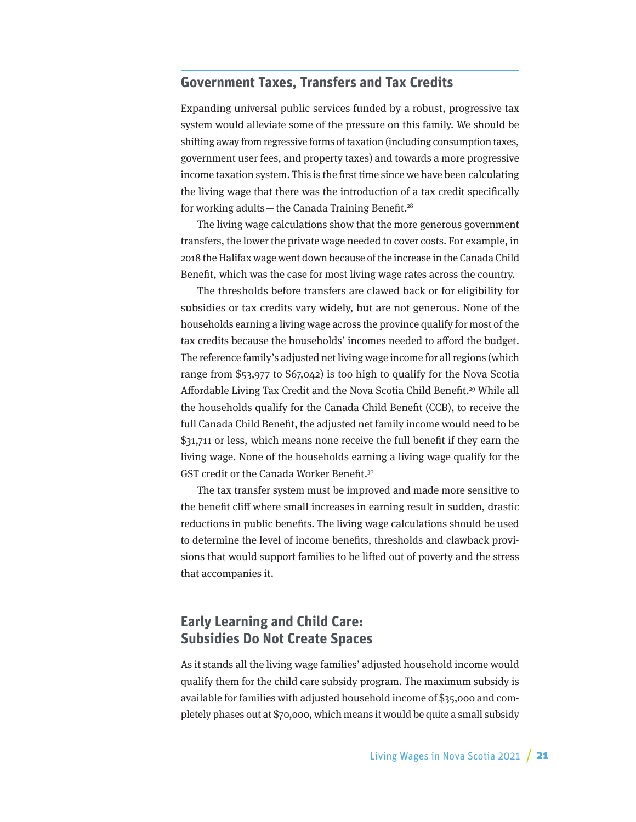### **Government Taxes, Transfers and Tax Credits**

Expanding universal public services funded by a robust, progressive tax system would alleviate some of the pressure on this family. We should be shifting away from regressive forms of taxation (including consumption taxes, government user fees, and property taxes) and towards a more progressive income taxation system. This is the first time since we have been calculating the living wage that there was the introduction of a tax credit specifically for working adults — the Canada Training Benefit.<sup>28</sup>

The living wage calculations show that the more generous government transfers, the lower the private wage needed to cover costs. For example, in 2018 the Halifax wage went down because of the increase in the Canada Child Benefit, which was the case for most living wage rates across the country.

The thresholds before transfers are clawed back or for eligibility for subsidies or tax credits vary widely, but are not generous. None of the households earning a living wage across the province qualify for most of the tax credits because the households' incomes needed to afford the budget. The reference family's adjusted net living wage income for all regions (which range from \$53,977 to \$67,042) is too high to qualify for the Nova Scotia Affordable Living Tax Credit and the Nova Scotia Child Benefit.<sup>29</sup> While all the households qualify for the Canada Child Benefit (CCB), to receive the full Canada Child Benefit, the adjusted net family income would need to be \$31,711 or less, which means none receive the full benefit if they earn the living wage. None of the households earning a living wage qualify for the GST credit or the Canada Worker Benefit.<sup>30</sup>

The tax transfer system must be improved and made more sensitive to the benefit cliff where small increases in earning result in sudden, drastic reductions in public benefits. The living wage calculations should be used to determine the level of income benefits, thresholds and clawback provisions that would support families to be lifted out of poverty and the stress that accompanies it.

## **Early Learning and Child Care: Subsidies Do Not Create Spaces**

As it stands all the living wage families' adjusted household income would qualify them for the child care subsidy program. The maximum subsidy is available for families with adjusted household income of \$35,000 and completely phases out at \$70,000, which means it would be quite a small subsidy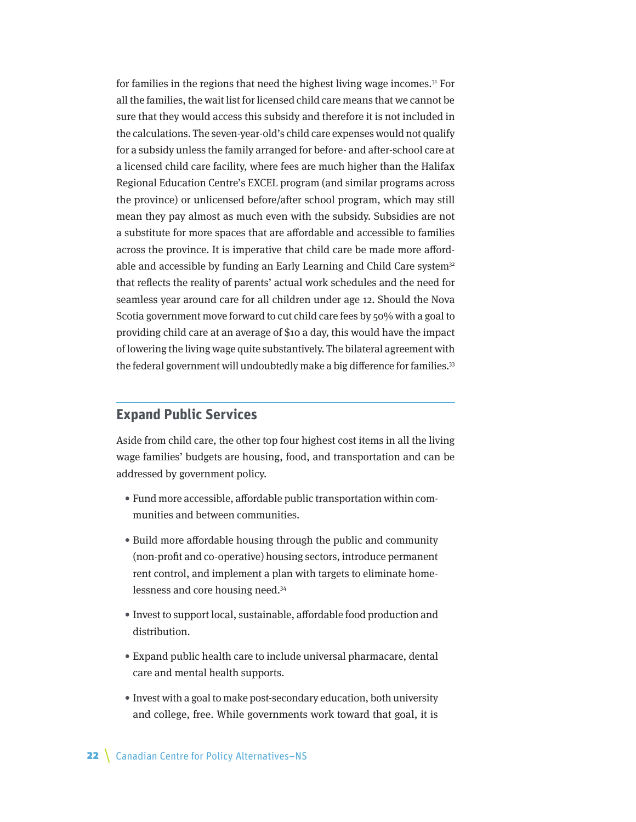for families in the regions that need the highest living wage incomes.<sup>31</sup> For all the families, the wait list for licensed child care means that we cannot be sure that they would access this subsidy and therefore it is not included in the calculations. The seven-year-old's child care expenses would not qualify for a subsidy unless the family arranged for before- and after-school care at a licensed child care facility, where fees are much higher than the Halifax Regional Education Centre's EXCEL program (and similar programs across the province) or unlicensed before/after school program, which may still mean they pay almost as much even with the subsidy. Subsidies are not a substitute for more spaces that are affordable and accessible to families across the province. It is imperative that child care be made more affordable and accessible by funding an Early Learning and Child Care system<sup>32</sup> that reflects the reality of parents' actual work schedules and the need for seamless year around care for all children under age 12. Should the Nova Scotia government move forward to cut child care fees by 50% with a goal to providing child care at an average of \$10 a day, this would have the impact of lowering the living wage quite substantively. The bilateral agreement with the federal government will undoubtedly make a big difference for families.<sup>33</sup>

### **Expand Public Services**

Aside from child care, the other top four highest cost items in all the living wage families' budgets are housing, food, and transportation and can be addressed by government policy.

- Fund more accessible, affordable public transportation within communities and between communities.
- Build more affordable housing through the public and community (non-profit and co-operative) housing sectors, introduce permanent rent control, and implement a plan with targets to eliminate homelessness and core housing need.34
- Invest to support local, sustainable, affordable food production and distribution.
- Expand public health care to include universal pharmacare, dental care and mental health supports.
- Invest with a goal to make post-secondary education, both university and college, free. While governments work toward that goal, it is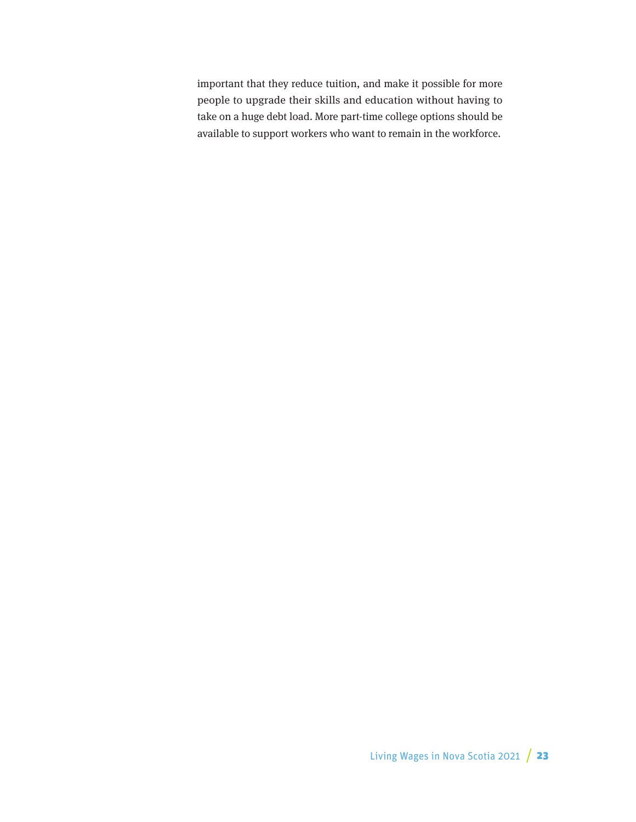important that they reduce tuition, and make it possible for more people to upgrade their skills and education without having to take on a huge debt load. More part-time college options should be available to support workers who want to remain in the workforce.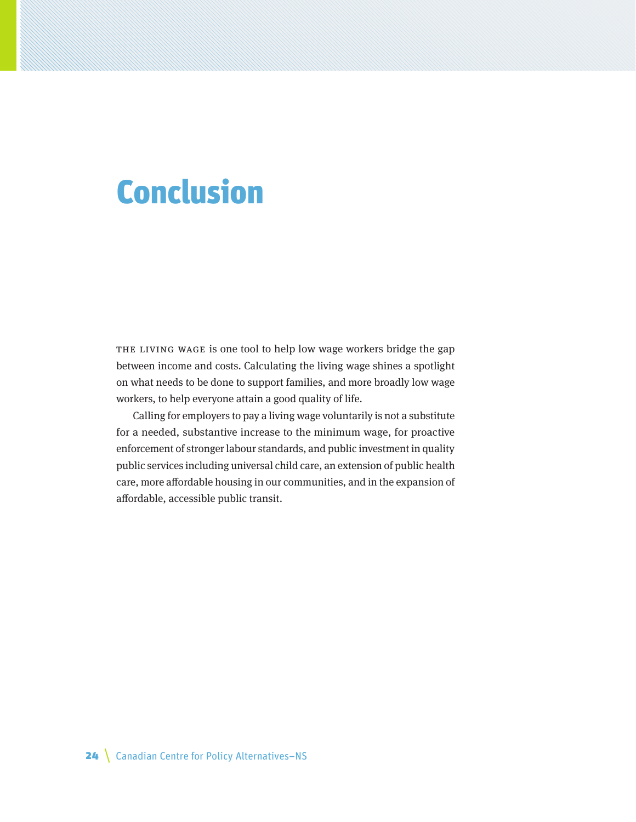## Conclusion

The living wage is one tool to help low wage workers bridge the gap between income and costs. Calculating the living wage shines a spotlight on what needs to be done to support families, and more broadly low wage workers, to help everyone attain a good quality of life.

Calling for employers to pay a living wage voluntarily is not a substitute for a needed, substantive increase to the minimum wage, for proactive enforcement of stronger labour standards, and public investment in quality public services including universal child care, an extension of public health care, more affordable housing in our communities, and in the expansion of affordable, accessible public transit.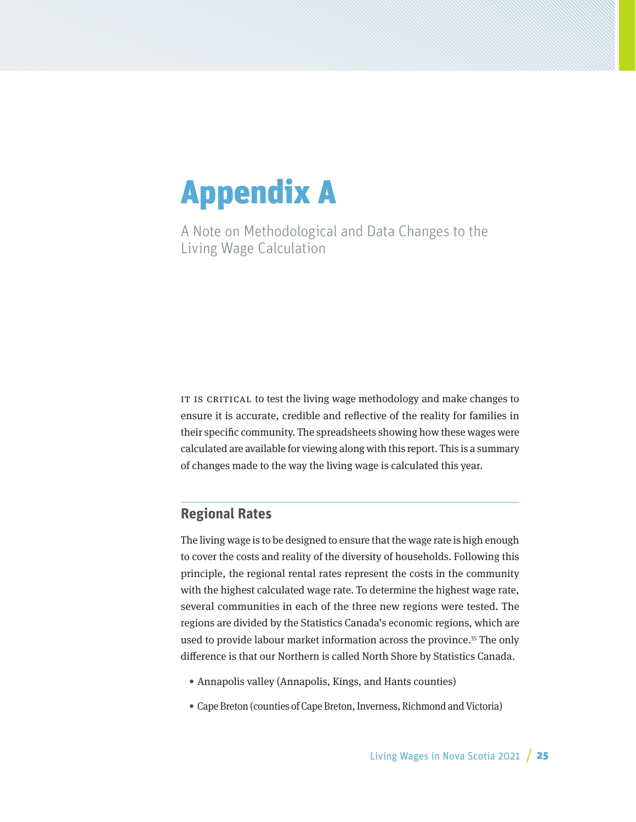# Appendix A

A Note on Methodological and Data Changes to the Living Wage Calculation

IT IS CRITICAL to test the living wage methodology and make changes to ensure it is accurate, credible and reflective of the reality for families in their specific community. The spreadsheets showing how these wages were calculated are available for viewing along with this report. This is a summary of changes made to the way the living wage is calculated this year.

## **Regional Rates**

The living wage is to be designed to ensure that the wage rate is high enough to cover the costs and reality of the diversity of households. Following this principle, the regional rental rates represent the costs in the community with the highest calculated wage rate. To determine the highest wage rate, several communities in each of the three new regions were tested. The regions are divided by the Statistics Canada's economic regions, which are used to provide labour market information across the province.<sup>35</sup> The only difference is that our Northern is called North Shore by Statistics Canada.

- Annapolis valley (Annapolis, Kings, and Hants counties)
- Cape Breton (counties of Cape Breton, Inverness, Richmond and Victoria)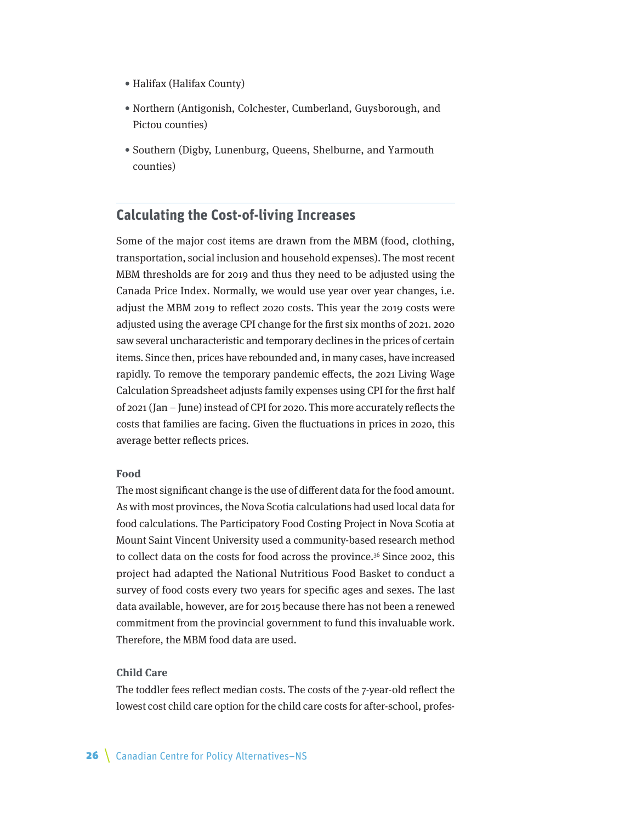- Halifax (Halifax County)
- Northern (Antigonish, Colchester, Cumberland, Guysborough, and Pictou counties)
- Southern (Digby, Lunenburg, Queens, Shelburne, and Yarmouth counties)

## **Calculating the Cost-of-living Increases**

Some of the major cost items are drawn from the MBM (food, clothing, transportation, social inclusion and household expenses). The most recent MBM thresholds are for 2019 and thus they need to be adjusted using the Canada Price Index. Normally, we would use year over year changes, i.e. adjust the MBM 2019 to reflect 2020 costs. This year the 2019 costs were adjusted using the average CPI change for the first six months of 2021. 2020 saw several uncharacteristic and temporary declines in the prices of certain items. Since then, prices have rebounded and, in many cases, have increased rapidly. To remove the temporary pandemic effects, the 2021 Living Wage Calculation Spreadsheet adjusts family expenses using CPI for the first half of 2021 (Jan – June) instead of CPI for 2020. This more accurately reflects the costs that families are facing. Given the fluctuations in prices in 2020, this average better reflects prices.

#### **Food**

The most significant change is the use of different data for the food amount. As with most provinces, the Nova Scotia calculations had used local data for food calculations. The Participatory Food Costing Project in Nova Scotia at Mount Saint Vincent University used a community-based research method to collect data on the costs for food across the province.<sup>36</sup> Since 2002, this project had adapted the National Nutritious Food Basket to conduct a survey of food costs every two years for specific ages and sexes. The last data available, however, are for 2015 because there has not been a renewed commitment from the provincial government to fund this invaluable work. Therefore, the MBM food data are used.

#### **Child Care**

The toddler fees reflect median costs. The costs of the 7-year-old reflect the lowest cost child care option for the child care costs for after-school, profes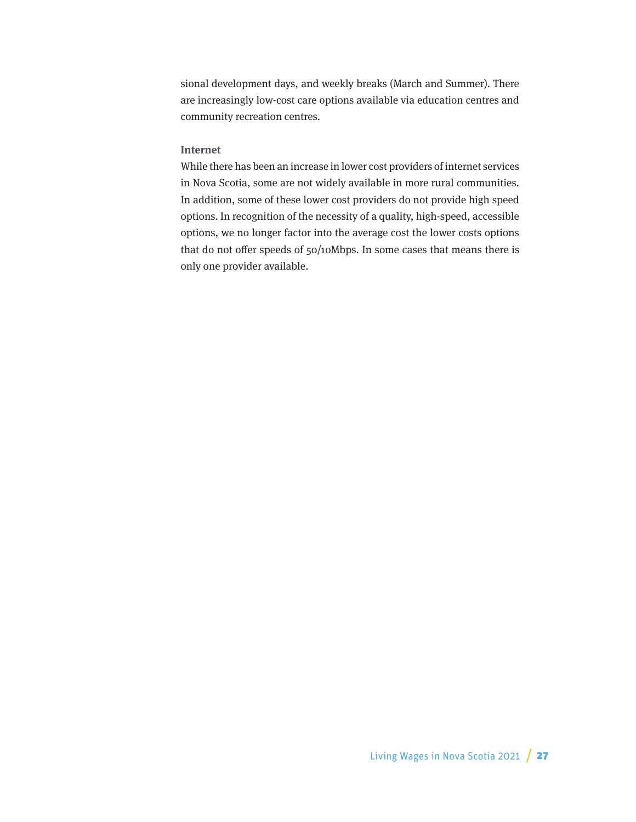sional development days, and weekly breaks (March and Summer). There are increasingly low-cost care options available via education centres and community recreation centres.

#### **Internet**

While there has been an increase in lower cost providers of internet services in Nova Scotia, some are not widely available in more rural communities. In addition, some of these lower cost providers do not provide high speed options. In recognition of the necessity of a quality, high-speed, accessible options, we no longer factor into the average cost the lower costs options that do not offer speeds of 50/10Mbps. In some cases that means there is only one provider available.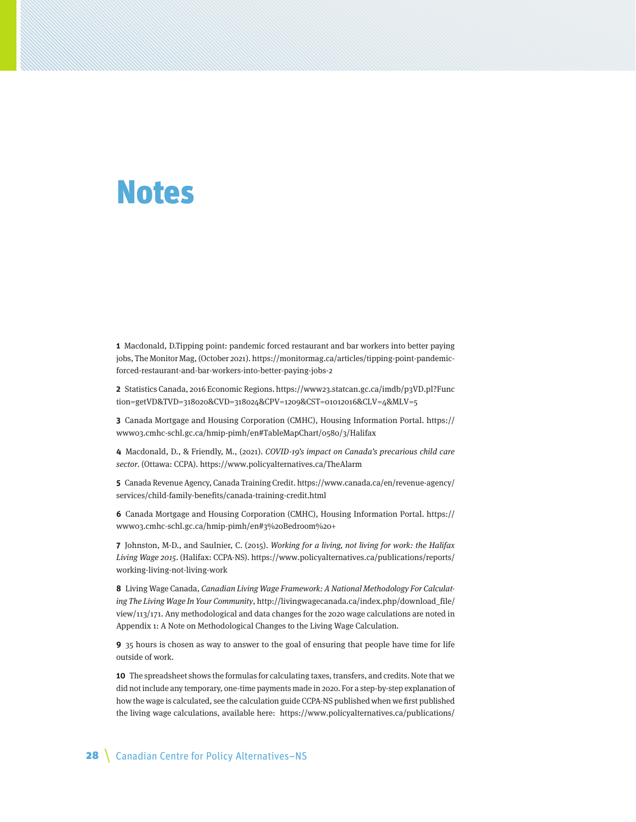## Notes

**1** Macdonald, D.Tipping point: pandemic forced restaurant and bar workers into better paying jobs, The Monitor Mag, (October 2021). https://monitormag.ca/articles/tipping-point-pandemicforced-restaurant-and-bar-workers-into-better-paying-jobs-2

**2** Statistics Canada, 2016 Economic Regions. https://www23.statcan.gc.ca/imdb/p3VD.pl?Func tion=getVD&TVD=318020&CVD=318024&CPV=1209&CST=01012016&CLV=4&MLV=5

**3** Canada Mortgage and Housing Corporation (CMHC), Housing Information Portal. https:// www03.cmhc-schl.gc.ca/hmip-pimh/en#TableMapChart/0580/3/Halifax

**4** Macdonald, D., & Friendly, M., (2021). COVID-19's impact on Canada's precarious child care sector. (Ottawa: CCPA). https://www.policyalternatives.ca/TheAlarm

**5** Canada Revenue Agency, Canada Training Credit. https://www.canada.ca/en/revenue-agency/ services/child-family-benefits/canada-training-credit.html

**6** Canada Mortgage and Housing Corporation (CMHC), Housing Information Portal. https:// www03.cmhc-schl.gc.ca/hmip-pimh/en#3%20Bedroom%20+

**7** Johnston, M-D., and Saulnier, C. (2015). Working for a living, not living for work: the Halifax Living Wage 2015. (Halifax: CCPA-NS). https://www.policyalternatives.ca/publications/reports/ working-living-not-living-work

**8** Living Wage Canada, Canadian Living Wage Framework: A National Methodology For Calculating The Living Wage In Your Community, http://livingwagecanada.ca/index.php/download\_file/ view/113/171. Any methodological and data changes for the 2020 wage calculations are noted in Appendix 1: A Note on Methodological Changes to the Living Wage Calculation.

**9** 35 hours is chosen as way to answer to the goal of ensuring that people have time for life outside of work.

**10** The spreadsheet shows the formulas for calculating taxes, transfers, and credits. Note that we did not include any temporary, one-time payments made in 2020. For a step-by-step explanation of how the wage is calculated, see the calculation guide CCPA-NS published when we first published the living wage calculations, available here: https://www.policyalternatives.ca/publications/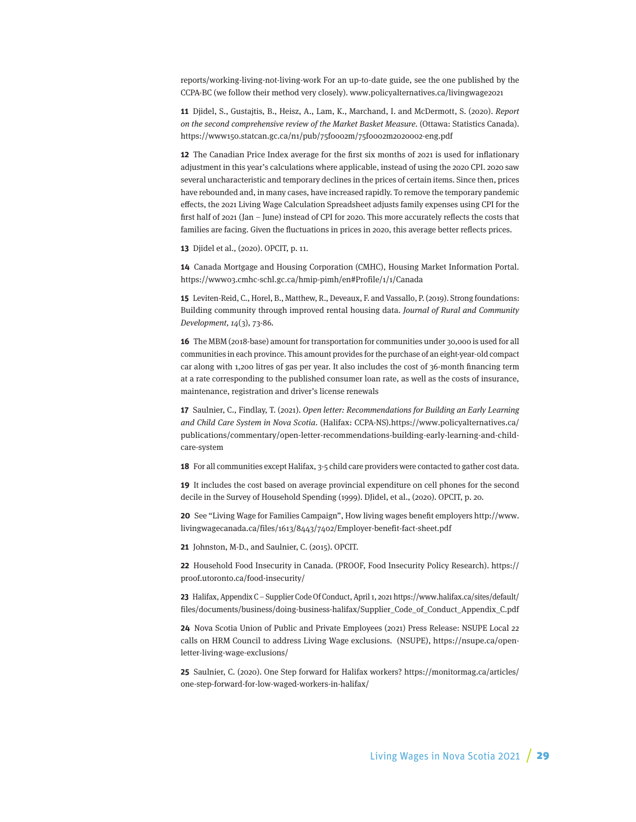reports/working-living-not-living-work For an up-to-date guide, see the one published by the CCPA-BC (we follow their method very closely). www.policyalternatives.ca/livingwage2021

**11** Djidel, S., Gustajtis, B., Heisz, A., Lam, K., Marchand, I. and McDermott, S. (2020). Report on the second comprehensive review of the Market Basket Measure. (Ottawa: Statistics Canada). https://www150.statcan.gc.ca/n1/pub/75f0002m/75f0002m2020002-eng.pdf

**12** The Canadian Price Index average for the first six months of 2021 is used for inflationary adjustment in this year's calculations where applicable, instead of using the 2020 CPI. 2020 saw several uncharacteristic and temporary declines in the prices of certain items. Since then, prices have rebounded and, in many cases, have increased rapidly. To remove the temporary pandemic effects, the 2021 Living Wage Calculation Spreadsheet adjusts family expenses using CPI for the first half of 2021 (Jan – June) instead of CPI for 2020. This more accurately reflects the costs that families are facing. Given the fluctuations in prices in 2020, this average better reflects prices.

**13** Djidel et al., (2020). OPCIT, p. 11.

**14** Canada Mortgage and Housing Corporation (CMHC), Housing Market Information Portal. https://www03.cmhc-schl.gc.ca/hmip-pimh/en#Profile/1/1/Canada

**15** Leviten-Reid, C., Horel, B., Matthew, R., Deveaux, F. and Vassallo, P. (2019). Strong foundations: Building community through improved rental housing data. Journal of Rural and Community Development, 14(3), 73-86.

**16** The MBM (2018-base) amount for transportation for communities under 30,000 is used for all communities in each province. This amount provides for the purchase of an eight-year-old compact car along with 1,200 litres of gas per year. It also includes the cost of 36-month financing term at a rate corresponding to the published consumer loan rate, as well as the costs of insurance, maintenance, registration and driver's license renewals

**17** Saulnier, C., Findlay, T. (2021). Open letter: Recommendations for Building an Early Learning and Child Care System in Nova Scotia. (Halifax: CCPA-NS).https://www.policyalternatives.ca/ publications/commentary/open-letter-recommendations-building-early-learning-and-childcare-system

**18** For all communities except Halifax, 3-5 child care providers were contacted to gather cost data.

**19** It includes the cost based on average provincial expenditure on cell phones for the second decile in the Survey of Household Spending (1999). DJidel, et al., (2020). OPCIT, p. 20.

**20** See "Living Wage for Families Campaign", How living wages benefit employers http://www. livingwagecanada.ca/files/1613/8443/7402/Employer-benefit-fact-sheet.pdf

**21** Johnston, M-D., and Saulnier, C. (2015). OPCIT.

**22** Household Food Insecurity in Canada. (PROOF, Food Insecurity Policy Research). https:// proof.utoronto.ca/food-insecurity/

**23** Halifax, Appendix C – Supplier Code Of Conduct, April 1, 2021 https://www.halifax.ca/sites/default/ files/documents/business/doing-business-halifax/Supplier\_Code\_of\_Conduct\_Appendix\_C.pdf

**24** Nova Scotia Union of Public and Private Employees (2021) Press Release: NSUPE Local 22 calls on HRM Council to address Living Wage exclusions. (NSUPE), https://nsupe.ca/openletter-living-wage-exclusions/

**25** Saulnier, C. (2020). One Step forward for Halifax workers? https://monitormag.ca/articles/ one-step-forward-for-low-waged-workers-in-halifax/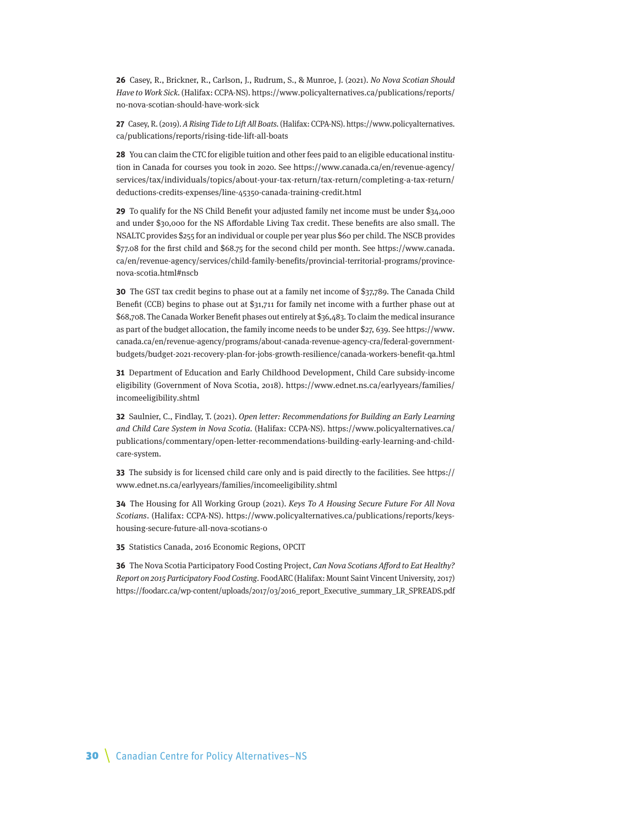**26** Casey, R., Brickner, R., Carlson, J., Rudrum, S., & Munroe, J. (2021). No Nova Scotian Should Have to Work Sick. (Halifax: CCPA-NS). https://www.policyalternatives.ca/publications/reports/ no-nova-scotian-should-have-work-sick

**27** Casey, R. (2019). A Rising Tide to Lift All Boats. (Halifax: CCPA-NS). https://www.policyalternatives. ca/publications/reports/rising-tide-lift-all-boats

**28** You can claim the CTC for eligible tuition and other fees paid to an eligible educational institution in Canada for courses you took in 2020. See https://www.canada.ca/en/revenue-agency/ services/tax/individuals/topics/about-your-tax-return/tax-return/completing-a-tax-return/ deductions-credits-expenses/line-45350-canada-training-credit.html

**29** To qualify for the NS Child Benefit your adjusted family net income must be under \$34,000 and under \$30,000 for the NS Affordable Living Tax credit. These benefits are also small. The NSALTC provides \$255 for an individual or couple per year plus \$60 per child. The NSCB provides \$77.08 for the first child and \$68.75 for the second child per month. See https://www.canada. ca/en/revenue-agency/services/child-family-benefits/provincial-territorial-programs/provincenova-scotia.html#nscb

**30** The GST tax credit begins to phase out at a family net income of \$37,789. The Canada Child Benefit (CCB) begins to phase out at \$31,711 for family net income with a further phase out at \$68,708. The Canada Worker Benefit phases out entirely at \$36,483. To claim the medical insurance as part of the budget allocation, the family income needs to be under \$27, 639. See https://www. canada.ca/en/revenue-agency/programs/about-canada-revenue-agency-cra/federal-governmentbudgets/budget-2021-recovery-plan-for-jobs-growth-resilience/canada-workers-benefit-qa.html

**31** Department of Education and Early Childhood Development, Child Care subsidy-income eligibility (Government of Nova Scotia, 2018). https://www.ednet.ns.ca/earlyyears/families/ incomeeligibility.shtml

**32** Saulnier, C., Findlay, T. (2021). Open letter: Recommendations for Building an Early Learning and Child Care System in Nova Scotia. (Halifax: CCPA-NS). https://www.policyalternatives.ca/ publications/commentary/open-letter-recommendations-building-early-learning-and-childcare-system.

**33** The subsidy is for licensed child care only and is paid directly to the facilities. See https:// www.ednet.ns.ca/earlyyears/families/incomeeligibility.shtml

**34** The Housing for All Working Group (2021). Keys To A Housing Secure Future For All Nova Scotians. (Halifax: CCPA-NS). https://www.policyalternatives.ca/publications/reports/keyshousing-secure-future-all-nova-scotians-0

**35** Statistics Canada, 2016 Economic Regions, OPCIT

**36** The Nova Scotia Participatory Food Costing Project, Can Nova Scotians Afford to Eat Healthy? Report on 2015 Participatory Food Costing. FoodARC (Halifax: Mount Saint Vincent University, 2017) https://foodarc.ca/wp-content/uploads/2017/03/2016\_report\_Executive\_summary\_LR\_SPREADS.pdf